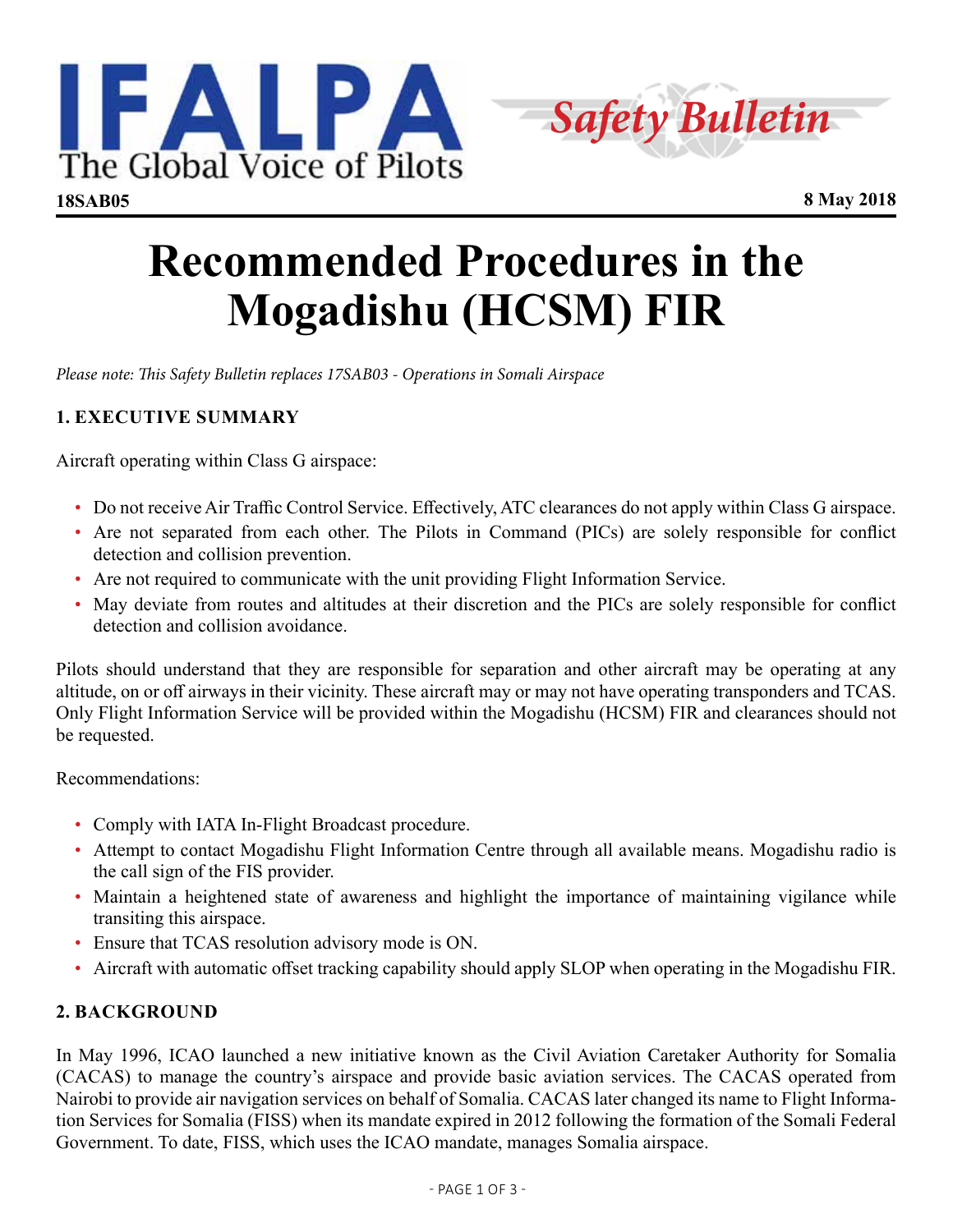



# **Recommended Procedures in the Mogadishu (HCSM) FIR**

*Please note: This Safety Bulletin replaces 17SAB03 - Operations in Somali Airspace*

# **1. EXECUTIVE SUMMARY**

Aircraft operating within Class G airspace:

- Do not receive Air Traffic Control Service. Effectively, ATC clearances do not apply within Class G airspace.
- Are not separated from each other. The Pilots in Command (PICs) are solely responsible for conflict detection and collision prevention.
- Are not required to communicate with the unit providing Flight Information Service.
- May deviate from routes and altitudes at their discretion and the PICs are solely responsible for conflict detection and collision avoidance.

Pilots should understand that they are responsible for separation and other aircraft may be operating at any altitude, on or off airways in their vicinity. These aircraft may or may not have operating transponders and TCAS. Only Flight Information Service will be provided within the Mogadishu (HCSM) FIR and clearances should not be requested.

Recommendations:

- Comply with IATA In-Flight Broadcast procedure.
- Attempt to contact Mogadishu Flight Information Centre through all available means. Mogadishu radio is the call sign of the FIS provider.
- Maintain a heightened state of awareness and highlight the importance of maintaining vigilance while transiting this airspace.
- Ensure that TCAS resolution advisory mode is ON.
- Aircraft with automatic offset tracking capability should apply SLOP when operating in the Mogadishu FIR.

## **[2](mailto:dt%40Anpac.it%0D?subject=). BACKGROUND**

In May 1996, ICAO launched a new initiative known as the Civil Aviation Caretaker Authority for Somalia (CACAS) to manage the country's airspace and provide basic aviation services. The CACAS operated from Nairobi to provide air navigation services on behalf of Somalia. CACAS later changed its name to Flight Information Services for Somalia (FISS) when its mandate expired in 2012 following the formation of the Somali Federal Government. To date, FISS, which uses the ICAO mandate, manages Somalia airspace.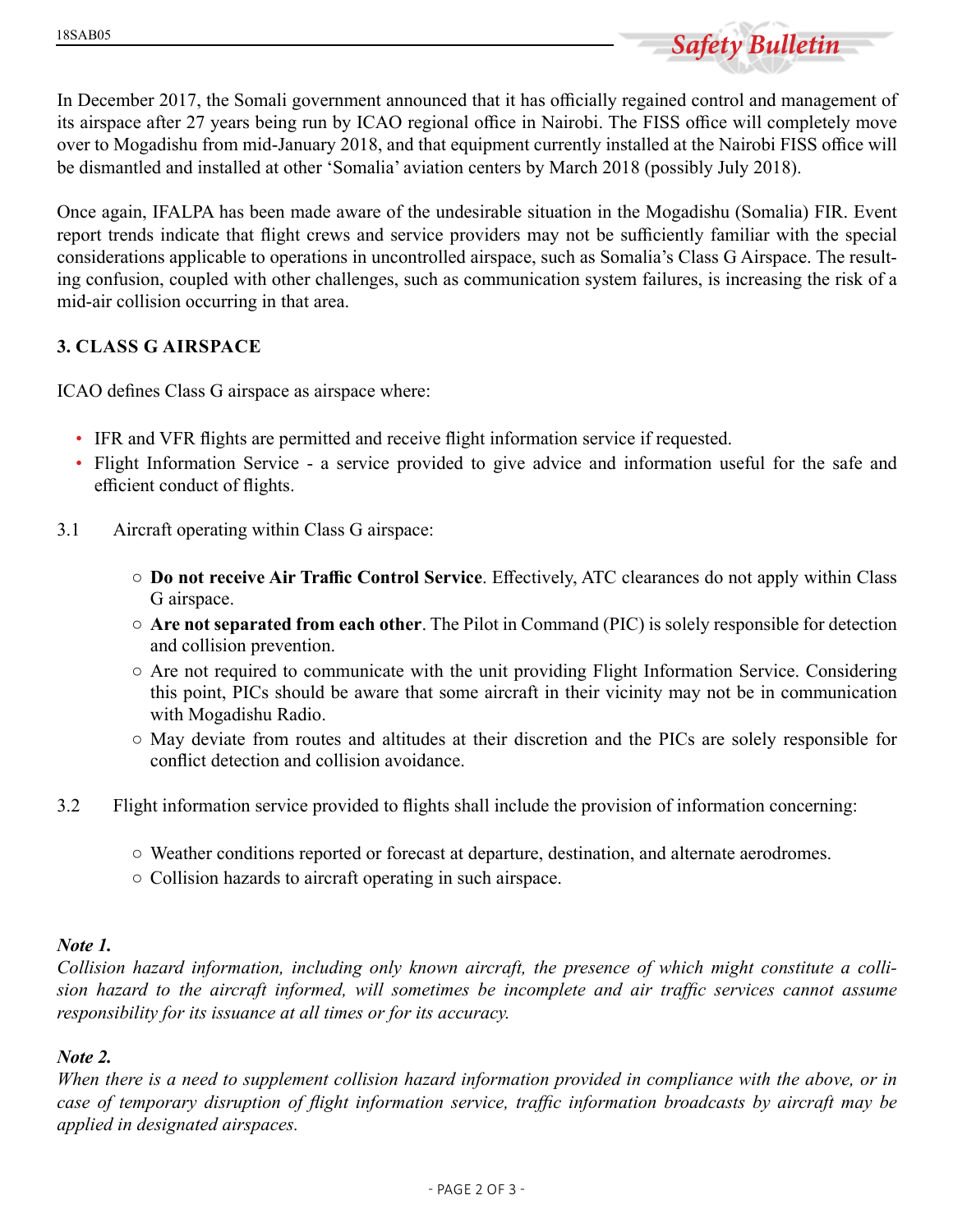

In December 2017, the Somali government announced that it has officially regained control and management of its airspace after 27 years being run by ICAO regional office in Nairobi. The FISS office will completely move over to Mogadishu from mid-January 2018, and that equipment currently installed at the Nairobi FISS office will be dismantled and installed at other 'Somalia' aviation centers by March 2018 (possibly July 2018).

Once again, IFALPA has been made aware of the undesirable situation in the Mogadishu (Somalia) FIR. Event report trends indicate that flight crews and service providers may not be sufficiently familiar with the special considerations applicable to operations in uncontrolled airspace, such as Somalia's Class G Airspace. The resulting confusion, coupled with other challenges, such as communication system failures, is increasing the risk of a mid-air collision occurring in that area.

## **3. CLASS G AIRSPACE**

ICAO defines Class G airspace as airspace where:

- IFR and VFR flights are permitted and receive flight information service if requested.
- Flight Information Service a service provided to give advice and information useful for the safe and efficient conduct of flights.
- 3.1 Aircraft operating within Class G airspace:
	- **Do not receive Air Traffic Control Service**. Effectively, ATC clearances do not apply within Class G airspace.
	- **Are not separated from each other**. The Pilot in Command (PIC) is solely responsible for detection and collision prevention.
	- Are not required to communicate with the unit providing Flight Information Service. Considering this point, PICs should be aware that some aircraft in their vicinity may not be in communication with Mogadishu Radio.
	- May deviate from routes and altitudes at their discretion and the PICs are solely responsible for conflict detection and collision avoidance.
- 3.2 Flight information service provided to flights shall include the provision of information concerning:
	- Weather conditions reported or forecast at departure, destination, and alternate aerodromes.
	- Collision hazards to aircraft operating in such airspace.

#### *Note 1.*

*Collision hazard information, including only known aircraft, the presence of which might constitute a collision hazard to the aircraft informed, will sometimes be incomplete and air traffic services cannot assume responsibility for its issuance at all times or for its accuracy.* 

#### *Note 2.*

*When there is a need to supplement collision hazard information provided in compliance with the above, or in case of temporary disruption of flight information service, traffic information broadcasts by aircraft may be applied in designated airspaces.*